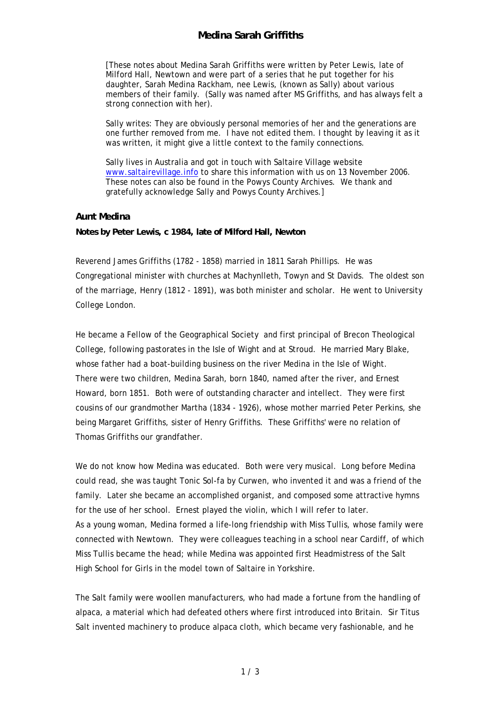## **Medina Sarah Griffiths**

[These notes about Medina Sarah Griffiths were written by Peter Lewis, late of Milford Hall, Newtown and were part of a series that he put together for his daughter, Sarah Medina Rackham, nee Lewis, (known as Sally) about various members of their family. (Sally was named after MS Griffiths, and has always felt a strong connection with her).

Sally writes: They are obviously personal memories of her and the generations are one further removed from me. I have not edited them. I thought by leaving it as it was written, it might give a little context to the family connections.

Sally lives in Australia and got in touch with Saltaire Village website www.saltairevillage.info to share this information with us on 13 November 2006. These notes can also be found in the Powys County Archives. We thank and gratefully acknowledge Sally and Powys County Archives.]

## **Aunt Medina**

**Notes by Peter Lewis, c 1984, late of Milford Hall, Newton** 

Reverend James Griffiths (1782 - 1858) married in 1811 Sarah Phillips. He was Congregational minister with churches at Machynlleth, Towyn and St Davids. The oldest son of the marriage, Henry (1812 - 1891), was both minister and scholar. He went to University College London.

He became a Fellow of the Geographical Society and first principal of Brecon Theological College, following pastorates in the Isle of Wight and at Stroud. He married Mary Blake, whose father had a boat-building business on the river Medina in the Isle of Wight. There were two children, Medina Sarah, born 1840, named after the river, and Ernest Howard, born 1851. Both were of outstanding character and intellect. They were first cousins of our grandmother Martha (1834 - 1926), whose mother married Peter Perkins, she being Margaret Griffiths, sister of Henry Griffiths. These Griffiths' were no relation of Thomas Griffiths our grandfather.

We do not know how Medina was educated. Both were very musical. Long before Medina could read, she was taught Tonic Sol-fa by Curwen, who invented it and was a friend of the family. Later she became an accomplished organist, and composed some attractive hymns for the use of her school. Ernest played the violin, which I will refer to later. As a young woman, Medina formed a life-long friendship with Miss Tullis, whose family were connected with Newtown. They were colleagues teaching in a school near Cardiff, of which Miss Tullis became the head; while Medina was appointed first Headmistress of the Salt High School for Girls in the model town of Saltaire in Yorkshire.

The Salt family were woollen manufacturers, who had made a fortune from the handling of alpaca, a material which had defeated others where first introduced into Britain. Sir Titus Salt invented machinery to produce alpaca cloth, which became very fashionable, and he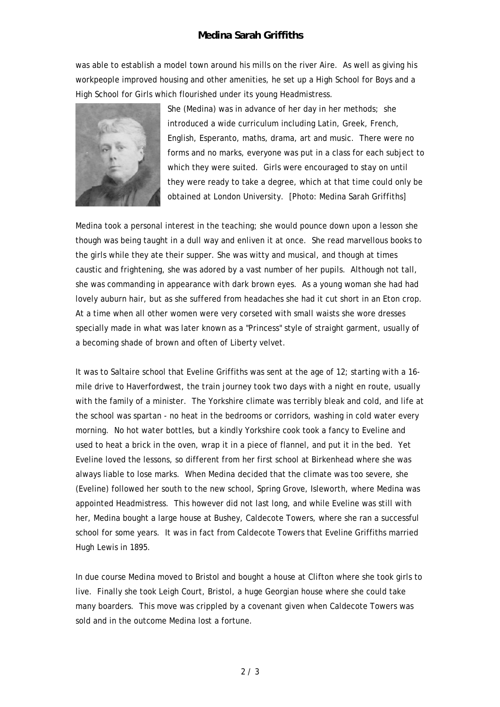## **Medina Sarah Griffiths**

was able to establish a model town around his mills on the river Aire. As well as giving his workpeople improved housing and other amenities, he set up a High School for Boys and a High School for Girls which flourished under its young Headmistress.



She (Medina) was in advance of her day in her methods; she introduced a wide curriculum including Latin, Greek, French, English, Esperanto, maths, drama, art and music. There were no forms and no marks, everyone was put in a class for each subject to which they were suited. Girls were encouraged to stay on until they were ready to take a degree, which at that time could only be obtained at London University. [Photo: Medina Sarah Griffiths]

Medina took a personal interest in the teaching; she would pounce down upon a lesson she though was being taught in a dull way and enliven it at once. She read marvellous books to the girls while they ate their supper. She was witty and musical, and though at times caustic and frightening, she was adored by a vast number of her pupils. Although not tall, she was commanding in appearance with dark brown eyes. As a young woman she had had lovely auburn hair, but as she suffered from headaches she had it cut short in an Eton crop. At a time when all other women were very corseted with small waists she wore dresses specially made in what was later known as a "Princess" style of straight garment, usually of a becoming shade of brown and often of Liberty velvet.

It was to Saltaire school that Eveline Griffiths was sent at the age of 12; starting with a 16 mile drive to Haverfordwest, the train journey took two days with a night en route, usually with the family of a minister. The Yorkshire climate was terribly bleak and cold, and life at the school was spartan - no heat in the bedrooms or corridors, washing in cold water every morning. No hot water bottles, but a kindly Yorkshire cook took a fancy to Eveline and used to heat a brick in the oven, wrap it in a piece of flannel, and put it in the bed. Yet Eveline loved the lessons, so different from her first school at Birkenhead where she was always liable to lose marks. When Medina decided that the climate was too severe, she (Eveline) followed her south to the new school, Spring Grove, Isleworth, where Medina was appointed Headmistress. This however did not last long, and while Eveline was still with her, Medina bought a large house at Bushey, Caldecote Towers, where she ran a successful school for some years. It was in fact from Caldecote Towers that Eveline Griffiths married Hugh Lewis in 1895.

In due course Medina moved to Bristol and bought a house at Clifton where she took girls to live. Finally she took Leigh Court, Bristol, a huge Georgian house where she could take many boarders. This move was crippled by a covenant given when Caldecote Towers was sold and in the outcome Medina lost a fortune.